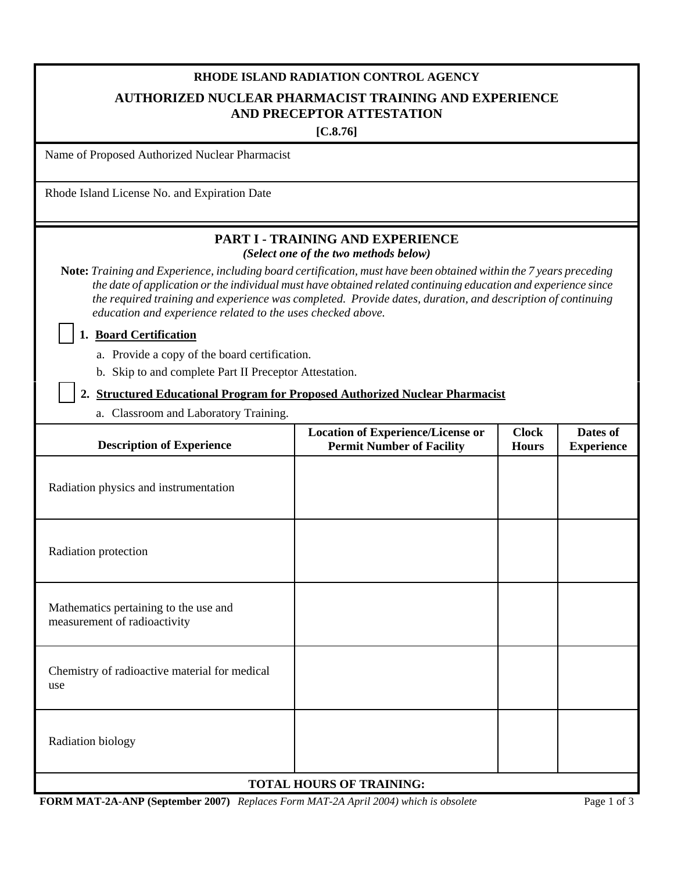# **RHODE ISLAND RADIATION CONTROL AGENCY AUTHORIZED NUCLEAR PHARMACIST TRAINING AND EXPERIENCE AND PRECEPTOR ATTESTATION**

**[C.8.76]**

Name of Proposed Authorized Nuclear Pharmacist

Rhode Island License No. and Expiration Date

## **PART I - TRAINING AND EXPERIENCE**  *(Select one of the two methods below)*

**Note:** *Training and Experience, including board certification, must have been obtained within the 7 years preceding the date of application or the individual must have obtained related continuing education and experience since the required training and experience was completed. Provide dates, duration, and description of continuing education and experience related to the uses checked above.*

 **1. Board Certification**

a. Provide a copy of the board certification.

b. Skip to and complete Part II Preceptor Attestation.

#### **2. Structured Educational Program for Proposed Authorized Nuclear Pharmacist**

a. Classroom and Laboratory Training.

| <b>Description of Experience</b>                                      | <b>Location of Experience/License or</b><br><b>Permit Number of Facility</b> | <b>Clock</b><br><b>Hours</b> | Dates of<br><b>Experience</b> |  |  |  |
|-----------------------------------------------------------------------|------------------------------------------------------------------------------|------------------------------|-------------------------------|--|--|--|
| Radiation physics and instrumentation                                 |                                                                              |                              |                               |  |  |  |
| Radiation protection                                                  |                                                                              |                              |                               |  |  |  |
| Mathematics pertaining to the use and<br>measurement of radioactivity |                                                                              |                              |                               |  |  |  |
| Chemistry of radioactive material for medical<br>use                  |                                                                              |                              |                               |  |  |  |
| Radiation biology                                                     |                                                                              |                              |                               |  |  |  |
| <b>TOTAL HOURS OF TRAINING:</b>                                       |                                                                              |                              |                               |  |  |  |

**FORM MAT-2A-ANP (September 2007)** *Replaces Form MAT-2A April 2004) which is obsolete* Page 1 of 3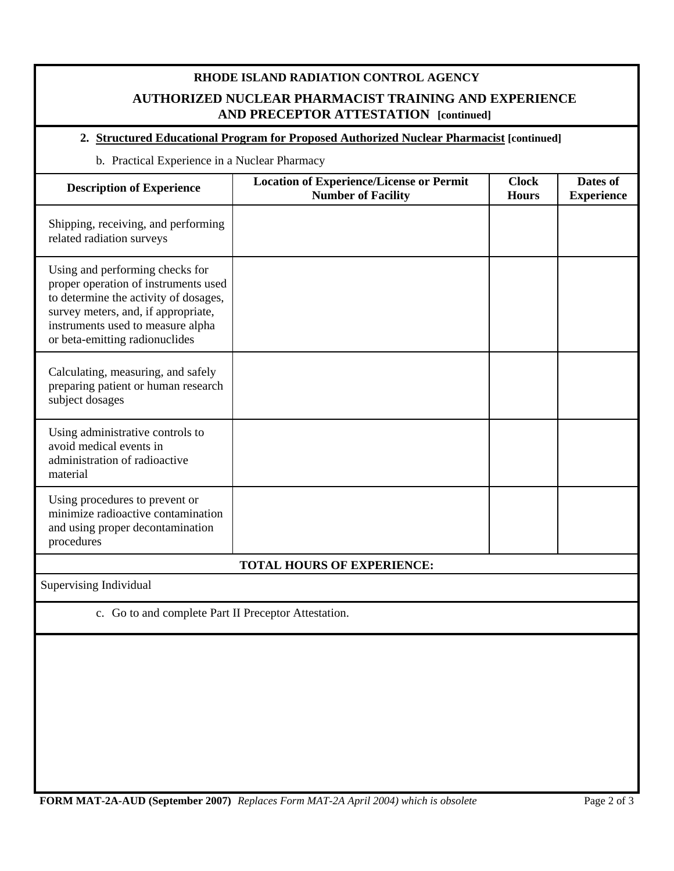## **RHODE ISLAND RADIATION CONTROL AGENCY AUTHORIZED NUCLEAR PHARMACIST TRAINING AND EXPERIENCE AND PRECEPTOR ATTESTATION [continued]**

## **2. Structured Educational Program for Proposed Authorized Nuclear Pharmacist [continued]**

b. Practical Experience in a Nuclear Pharmacy

| <b>Description of Experience</b>                                                                                                                                                                                               | <b>Location of Experience/License or Permit</b><br><b>Number of Facility</b> | <b>Clock</b><br><b>Hours</b> | Dates of<br><b>Experience</b> |  |  |  |  |
|--------------------------------------------------------------------------------------------------------------------------------------------------------------------------------------------------------------------------------|------------------------------------------------------------------------------|------------------------------|-------------------------------|--|--|--|--|
| Shipping, receiving, and performing<br>related radiation surveys                                                                                                                                                               |                                                                              |                              |                               |  |  |  |  |
| Using and performing checks for<br>proper operation of instruments used<br>to determine the activity of dosages,<br>survey meters, and, if appropriate,<br>instruments used to measure alpha<br>or beta-emitting radionuclides |                                                                              |                              |                               |  |  |  |  |
| Calculating, measuring, and safely<br>preparing patient or human research<br>subject dosages                                                                                                                                   |                                                                              |                              |                               |  |  |  |  |
| Using administrative controls to<br>avoid medical events in<br>administration of radioactive<br>material                                                                                                                       |                                                                              |                              |                               |  |  |  |  |
| Using procedures to prevent or<br>minimize radioactive contamination<br>and using proper decontamination<br>procedures                                                                                                         |                                                                              |                              |                               |  |  |  |  |
|                                                                                                                                                                                                                                | <b>TOTAL HOURS OF EXPERIENCE:</b>                                            |                              |                               |  |  |  |  |
| Supervising Individual                                                                                                                                                                                                         |                                                                              |                              |                               |  |  |  |  |
| c. Go to and complete Part II Preceptor Attestation.                                                                                                                                                                           |                                                                              |                              |                               |  |  |  |  |
|                                                                                                                                                                                                                                |                                                                              |                              |                               |  |  |  |  |

**FORM MAT-2A-AUD (September 2007)** *Replaces Form MAT-2A April 2004) which is obsolete* Page 2 of 3